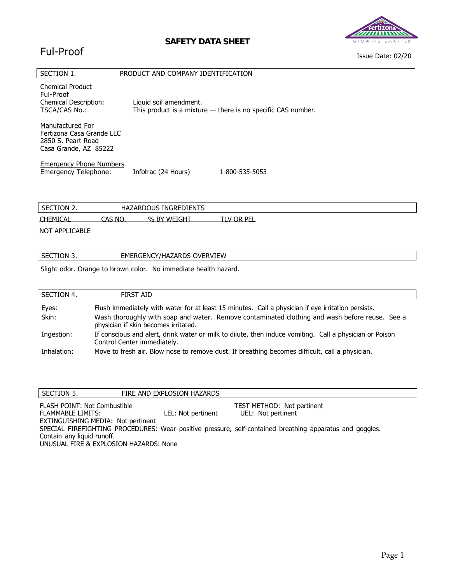### **SAFETY DATA SHEET**

## Ful-Proof



Issue Date: 02/20

| SECTION 1.                                                                                   | PRODUCT AND COMPANY IDENTIFICATION |                                                                |
|----------------------------------------------------------------------------------------------|------------------------------------|----------------------------------------------------------------|
| <b>Chemical Product</b><br>Ful-Proof<br><b>Chemical Description:</b><br>TSCA/CAS No.:        | Liquid soil amendment.             | This product is a mixture $-$ there is no specific CAS number. |
| Manufactured For<br>Fertizona Casa Grande LLC<br>2850 S. Peart Road<br>Casa Grande, AZ 85222 |                                    |                                                                |
| <b>Emergency Phone Numbers</b><br>Emergency Telephone:                                       | Infotrac (24 Hours)                | 1-800-535-5053                                                 |
| SECTION 2.                                                                                   | <b>HAZARDOUS INGREDIENTS</b>       |                                                                |
| <b>CHEMICAL</b><br>CAS NO.                                                                   | % BY WEIGHT                        | TLV OR PEL                                                     |

NOT APPLICABLE

| OVERVIEW<br>EMERGENCY/HAZARDS<br>- SEC<br>TON 3.<br>ັ |  |  |
|-------------------------------------------------------|--|--|
|                                                       |  |  |

Slight odor. Orange to brown color. No immediate health hazard.

| SECTION 4.     | FIRST AID                                                                                                                                                                                                                                    |
|----------------|----------------------------------------------------------------------------------------------------------------------------------------------------------------------------------------------------------------------------------------------|
| Eyes:<br>Skin: | Flush immediately with water for at least 15 minutes. Call a physician if eye irritation persists.<br>Wash thoroughly with soap and water. Remove contaminated clothing and wash before reuse. See a<br>physician if skin becomes irritated. |
| Ingestion:     | If conscious and alert, drink water or milk to dilute, then induce vomiting. Call a physician or Poison<br>Control Center immediately.                                                                                                       |
| Inhalation:    | Move to fresh air. Blow nose to remove dust. If breathing becomes difficult, call a physician.                                                                                                                                               |

| SECTION 5.                             | FIRE AND EXPLOSION HAZARDS |                                                                                                          |
|----------------------------------------|----------------------------|----------------------------------------------------------------------------------------------------------|
| <b>FLASH POINT: Not Combustible</b>    |                            | <b>TEST METHOD: Not pertinent</b>                                                                        |
| FLAMMABLE LIMITS:                      | LEL: Not pertinent         | UEL: Not pertinent                                                                                       |
| EXTINGUISHING MEDIA: Not pertinent     |                            |                                                                                                          |
|                                        |                            | SPECIAL FIREFIGHTING PROCEDURES: Wear positive pressure, self-contained breathing apparatus and goggles. |
| Contain any liquid runoff.             |                            |                                                                                                          |
| UNUSUAL FIRE & EXPLOSION HAZARDS: None |                            |                                                                                                          |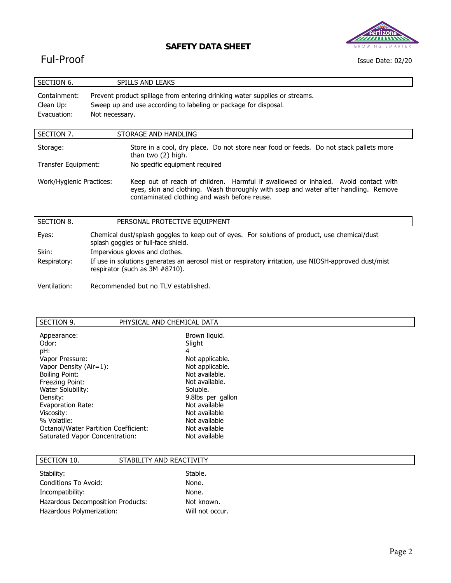



#### Issue Date: 02/20

# Ful-Proof

| SECTION 6.                                                                                                                                                                                                  | <b>SPILLS AND LEAKS</b>                                                                                                                 |                                                                                                                                                                           |  |
|-------------------------------------------------------------------------------------------------------------------------------------------------------------------------------------------------------------|-----------------------------------------------------------------------------------------------------------------------------------------|---------------------------------------------------------------------------------------------------------------------------------------------------------------------------|--|
| Prevent product spillage from entering drinking water supplies or streams.<br>Containment:<br>Sweep up and use according to labeling or package for disposal.<br>Clean Up:<br>Evacuation:<br>Not necessary. |                                                                                                                                         |                                                                                                                                                                           |  |
| SECTION 7.                                                                                                                                                                                                  |                                                                                                                                         | STORAGE AND HANDLING                                                                                                                                                      |  |
| Storage:                                                                                                                                                                                                    |                                                                                                                                         | Store in a cool, dry place. Do not store near food or feeds. Do not stack pallets more<br>than two (2) high.                                                              |  |
| No specific equipment required<br>Transfer Equipment:                                                                                                                                                       |                                                                                                                                         |                                                                                                                                                                           |  |
| Work/Hygienic Practices:<br>contaminated clothing and wash before reuse.                                                                                                                                    |                                                                                                                                         | Keep out of reach of children. Harmful if swallowed or inhaled. Avoid contact with<br>eyes, skin and clothing. Wash thoroughly with soap and water after handling. Remove |  |
| SECTION 8.                                                                                                                                                                                                  |                                                                                                                                         | PERSONAL PROTECTIVE EQUIPMENT                                                                                                                                             |  |
| Eyes:                                                                                                                                                                                                       | Chemical dust/splash goggles to keep out of eyes. For solutions of product, use chemical/dust<br>splash goggles or full-face shield.    |                                                                                                                                                                           |  |
| Skin:                                                                                                                                                                                                       | Impervious gloves and clothes.                                                                                                          |                                                                                                                                                                           |  |
| Respiratory:                                                                                                                                                                                                | If use in solutions generates an aerosol mist or respiratory irritation, use NIOSH-approved dust/mist<br>respirator (such as 3M #8710). |                                                                                                                                                                           |  |

Ventilation: Recommended but no TLV established.

|                                                                                                                                                                                                                                                                                                                                                                                                                                                                                                                      | SECTION 9.<br>PHYSICAL AND CHEMICAL DATA |
|----------------------------------------------------------------------------------------------------------------------------------------------------------------------------------------------------------------------------------------------------------------------------------------------------------------------------------------------------------------------------------------------------------------------------------------------------------------------------------------------------------------------|------------------------------------------|
| Brown liquid.<br>Appearance:<br>Slight<br>Odor:<br>4<br>pH:<br>Not applicable.<br>Vapor Pressure:<br>Not applicable.<br>Vapor Density $(Air=1)$ :<br>Not available.<br><b>Boiling Point:</b><br>Not available.<br>Freezing Point:<br>Soluble.<br>Water Solubility:<br>9.8lbs per gallon<br>Density:<br>Not available<br>Evaporation Rate:<br>Not available<br>Viscosity:<br>Not available<br>% Volatile:<br>Not available<br>Octanol/Water Partition Coefficient:<br>Not available<br>Saturated Vapor Concentration: |                                          |

| SECTION 10.                                                    | STABILITY AND REACTIVITY      |  |
|----------------------------------------------------------------|-------------------------------|--|
| Stability:<br>Conditions To Avoid:                             | Stable.<br>None.              |  |
| Incompatibility:                                               | None.                         |  |
| Hazardous Decomposition Products:<br>Hazardous Polymerization: | Not known.<br>Will not occur. |  |